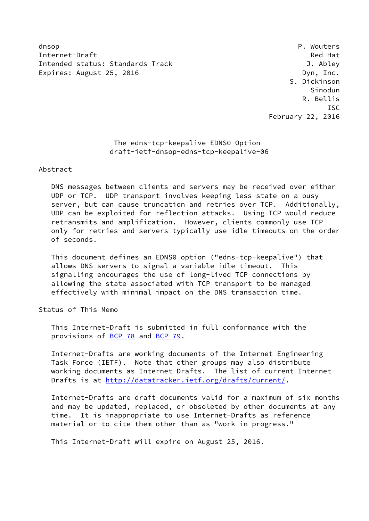dnsop **P. Wouters** Internet-Draft Red Hat Intended status: Standards Track J. Abley Expires: August 25, 2016 **Dyn, Inc.** 

 S. Dickinson Sinodun R. Bellis **ISC** February 22, 2016

> The edns-tcp-keepalive EDNS0 Option draft-ietf-dnsop-edns-tcp-keepalive-06

Abstract

 DNS messages between clients and servers may be received over either UDP or TCP. UDP transport involves keeping less state on a busy server, but can cause truncation and retries over TCP. Additionally, UDP can be exploited for reflection attacks. Using TCP would reduce retransmits and amplification. However, clients commonly use TCP only for retries and servers typically use idle timeouts on the order of seconds.

 This document defines an EDNS0 option ("edns-tcp-keepalive") that allows DNS servers to signal a variable idle timeout. This signalling encourages the use of long-lived TCP connections by allowing the state associated with TCP transport to be managed effectively with minimal impact on the DNS transaction time.

Status of This Memo

 This Internet-Draft is submitted in full conformance with the provisions of [BCP 78](https://datatracker.ietf.org/doc/pdf/bcp78) and [BCP 79](https://datatracker.ietf.org/doc/pdf/bcp79).

 Internet-Drafts are working documents of the Internet Engineering Task Force (IETF). Note that other groups may also distribute working documents as Internet-Drafts. The list of current Internet- Drafts is at<http://datatracker.ietf.org/drafts/current/>.

 Internet-Drafts are draft documents valid for a maximum of six months and may be updated, replaced, or obsoleted by other documents at any time. It is inappropriate to use Internet-Drafts as reference material or to cite them other than as "work in progress."

This Internet-Draft will expire on August 25, 2016.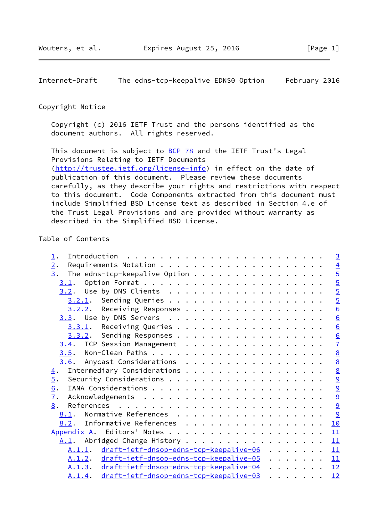Internet-Draft The edns-tcp-keepalive EDNS0 Option February 2016

#### Copyright Notice

 Copyright (c) 2016 IETF Trust and the persons identified as the document authors. All rights reserved.

This document is subject to **[BCP 78](https://datatracker.ietf.org/doc/pdf/bcp78)** and the IETF Trust's Legal Provisions Relating to IETF Documents [\(http://trustee.ietf.org/license-info](http://trustee.ietf.org/license-info)) in effect on the date of publication of this document. Please review these documents carefully, as they describe your rights and restrictions with respect to this document. Code Components extracted from this document must include Simplified BSD License text as described in Section 4.e of the Trust Legal Provisions and are provided without warranty as described in the Simplified BSD License.

# Table of Contents

| $\perp$ .                      |        |                                                  |  |  |  |  |  |  |  |                                                                                                                                               |  |  | $\overline{3}$  |
|--------------------------------|--------|--------------------------------------------------|--|--|--|--|--|--|--|-----------------------------------------------------------------------------------------------------------------------------------------------|--|--|-----------------|
| 2.                             |        |                                                  |  |  |  |  |  |  |  |                                                                                                                                               |  |  |                 |
| 3.                             |        | The edns-tcp-keepalive Option                    |  |  |  |  |  |  |  |                                                                                                                                               |  |  |                 |
|                                |        |                                                  |  |  |  |  |  |  |  |                                                                                                                                               |  |  |                 |
|                                |        |                                                  |  |  |  |  |  |  |  |                                                                                                                                               |  |  | $\frac{4}{5}$   |
|                                |        |                                                  |  |  |  |  |  |  |  |                                                                                                                                               |  |  | $\overline{5}$  |
|                                |        | 3.2.2. Receiving Responses                       |  |  |  |  |  |  |  |                                                                                                                                               |  |  | $\underline{6}$ |
|                                |        |                                                  |  |  |  |  |  |  |  |                                                                                                                                               |  |  | $\underline{6}$ |
|                                |        | $3.3.1$ . Receiving Queries                      |  |  |  |  |  |  |  |                                                                                                                                               |  |  | $\underline{6}$ |
|                                |        | 3.3.2. Sending Responses                         |  |  |  |  |  |  |  |                                                                                                                                               |  |  |                 |
| 3.4. TCP Session Management    |        |                                                  |  |  |  |  |  |  |  |                                                                                                                                               |  |  | $\frac{6}{7}$   |
|                                |        |                                                  |  |  |  |  |  |  |  |                                                                                                                                               |  |  |                 |
| $3.6$ . Anycast Considerations |        |                                                  |  |  |  |  |  |  |  |                                                                                                                                               |  |  | $\frac{8}{8}$   |
| $\overline{4}$ .               |        | Intermediary Considerations                      |  |  |  |  |  |  |  |                                                                                                                                               |  |  | $\frac{8}{9}$   |
| $\overline{5}$ .               |        |                                                  |  |  |  |  |  |  |  |                                                                                                                                               |  |  |                 |
| 6.                             |        |                                                  |  |  |  |  |  |  |  |                                                                                                                                               |  |  | $\overline{9}$  |
| $\mathbf{I}$ .                 |        |                                                  |  |  |  |  |  |  |  |                                                                                                                                               |  |  | $\overline{9}$  |
| 8.                             |        |                                                  |  |  |  |  |  |  |  |                                                                                                                                               |  |  | 9               |
| 8.1. Normative References      |        |                                                  |  |  |  |  |  |  |  |                                                                                                                                               |  |  | 9               |
| 8.2. Informative References    |        |                                                  |  |  |  |  |  |  |  |                                                                                                                                               |  |  | 10              |
|                                |        |                                                  |  |  |  |  |  |  |  |                                                                                                                                               |  |  | 11              |
| A.1. Abridged Change History   |        |                                                  |  |  |  |  |  |  |  |                                                                                                                                               |  |  | 11              |
|                                |        | A.1.1. draft-ietf-dnsop-edns-tcp-keepalive-06 11 |  |  |  |  |  |  |  |                                                                                                                                               |  |  |                 |
|                                |        | A.1.2. draft-ietf-dnsop-edns-tcp-keepalive-05 11 |  |  |  |  |  |  |  |                                                                                                                                               |  |  |                 |
|                                |        | A.1.3. draft-ietf-dnsop-edns-tcp-keepalive-04 12 |  |  |  |  |  |  |  |                                                                                                                                               |  |  |                 |
|                                | A.1.4. | draft-ietf-dnsop-edns-tcp-keepalive-03           |  |  |  |  |  |  |  | $\begin{array}{cccccccccccccc} \bullet & \bullet & \bullet & \bullet & \bullet & \bullet & \bullet & \bullet & \bullet & \bullet \end{array}$ |  |  | 12              |
|                                |        |                                                  |  |  |  |  |  |  |  |                                                                                                                                               |  |  |                 |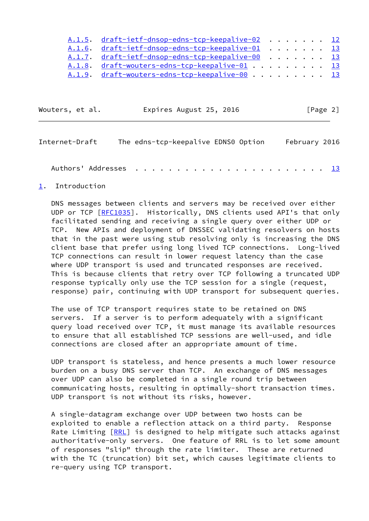| A.1.5. draft-ietf-dnsop-edns-tcp-keepalive-02 12 |  |  |  |  |
|--------------------------------------------------|--|--|--|--|
| A.1.6. draft-ietf-dnsop-edns-tcp-keepalive-01 13 |  |  |  |  |
| A.1.7. draft-ietf-dnsop-edns-tcp-keepalive-00 13 |  |  |  |  |
| A.1.8. draft-wouters-edns-tcp-keepalive-01 13    |  |  |  |  |
| A.1.9. draft-wouters-edns-tcp-keepalive-00 13    |  |  |  |  |

| Wouters, et al. | Expires August 25, 2016 | [Page 2] |
|-----------------|-------------------------|----------|
|-----------------|-------------------------|----------|

<span id="page-2-1"></span>

| Internet-Draft |  | The edns-tcp-keepalive EDNS0 Option |  |  |  |  | February 2016 |
|----------------|--|-------------------------------------|--|--|--|--|---------------|
|                |  |                                     |  |  |  |  |               |

# <span id="page-2-0"></span>[1](#page-2-0). Introduction

 DNS messages between clients and servers may be received over either UDP or TCP [[RFC1035\]](https://datatracker.ietf.org/doc/pdf/rfc1035). Historically, DNS clients used API's that only facilitated sending and receiving a single query over either UDP or TCP. New APIs and deployment of DNSSEC validating resolvers on hosts that in the past were using stub resolving only is increasing the DNS client base that prefer using long lived TCP connections. Long-lived TCP connections can result in lower request latency than the case where UDP transport is used and truncated responses are received. This is because clients that retry over TCP following a truncated UDP response typically only use the TCP session for a single (request, response) pair, continuing with UDP transport for subsequent queries.

 The use of TCP transport requires state to be retained on DNS servers. If a server is to perform adequately with a significant query load received over TCP, it must manage its available resources to ensure that all established TCP sessions are well-used, and idle connections are closed after an appropriate amount of time.

 UDP transport is stateless, and hence presents a much lower resource burden on a busy DNS server than TCP. An exchange of DNS messages over UDP can also be completed in a single round trip between communicating hosts, resulting in optimally-short transaction times. UDP transport is not without its risks, however.

 A single-datagram exchange over UDP between two hosts can be exploited to enable a reflection attack on a third party. Response Rate Limiting [[RRL](#page-11-5)] is designed to help mitigate such attacks against authoritative-only servers. One feature of RRL is to let some amount of responses "slip" through the rate limiter. These are returned with the TC (truncation) bit set, which causes legitimate clients to re-query using TCP transport.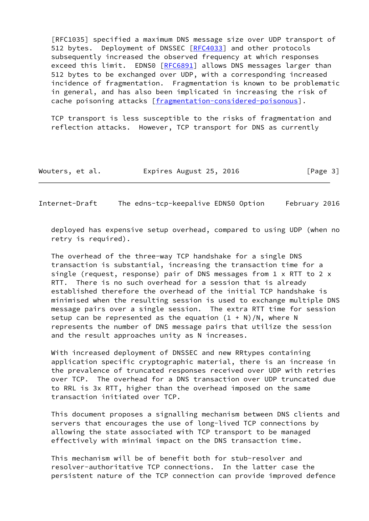[RFC1035] specified a maximum DNS message size over UDP transport of 512 bytes. Deployment of DNSSEC [\[RFC4033](https://datatracker.ietf.org/doc/pdf/rfc4033)] and other protocols subsequently increased the observed frequency at which responses exceed this limit. EDNS0 [[RFC6891](https://datatracker.ietf.org/doc/pdf/rfc6891)] allows DNS messages larger than 512 bytes to be exchanged over UDP, with a corresponding increased incidence of fragmentation. Fragmentation is known to be problematic in general, and has also been implicated in increasing the risk of cache poisoning attacks [\[fragmentation-considered-poisonous\]](#page-10-2).

 TCP transport is less susceptible to the risks of fragmentation and reflection attacks. However, TCP transport for DNS as currently

| Wouters, et al. | Expires August 25, 2016 | [Page 3] |
|-----------------|-------------------------|----------|
|-----------------|-------------------------|----------|

<span id="page-3-0"></span>Internet-Draft The edns-tcp-keepalive EDNS0 Option February 2016

 deployed has expensive setup overhead, compared to using UDP (when no retry is required).

 The overhead of the three-way TCP handshake for a single DNS transaction is substantial, increasing the transaction time for a single (request, response) pair of DNS messages from 1 x RTT to 2 x RTT. There is no such overhead for a session that is already established therefore the overhead of the initial TCP handshake is minimised when the resulting session is used to exchange multiple DNS message pairs over a single session. The extra RTT time for session setup can be represented as the equation  $(1 + N)/N$ , where N represents the number of DNS message pairs that utilize the session and the result approaches unity as N increases.

With increased deployment of DNSSEC and new RRtypes containing application specific cryptographic material, there is an increase in the prevalence of truncated responses received over UDP with retries over TCP. The overhead for a DNS transaction over UDP truncated due to RRL is 3x RTT, higher than the overhead imposed on the same transaction initiated over TCP.

 This document proposes a signalling mechanism between DNS clients and servers that encourages the use of long-lived TCP connections by allowing the state associated with TCP transport to be managed effectively with minimal impact on the DNS transaction time.

 This mechanism will be of benefit both for stub-resolver and resolver-authoritative TCP connections. In the latter case the persistent nature of the TCP connection can provide improved defence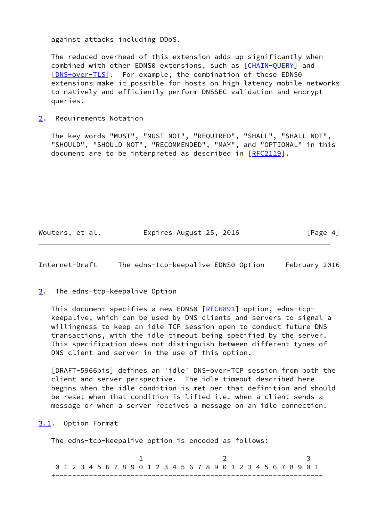against attacks including DDoS.

 The reduced overhead of this extension adds up significantly when combined with other EDNS0 extensions, such as [[CHAIN-QUERY](#page-10-3)] and [\[DNS-over-TLS](#page-10-4)]. For example, the combination of these EDNS0 extensions make it possible for hosts on high-latency mobile networks to natively and efficiently perform DNSSEC validation and encrypt queries.

<span id="page-4-0"></span>[2](#page-4-0). Requirements Notation

 The key words "MUST", "MUST NOT", "REQUIRED", "SHALL", "SHALL NOT", "SHOULD", "SHOULD NOT", "RECOMMENDED", "MAY", and "OPTIONAL" in this document are to be interpreted as described in [\[RFC2119](https://datatracker.ietf.org/doc/pdf/rfc2119)].

Wouters, et al. Expires August 25, 2016 [Page 4]

<span id="page-4-2"></span>Internet-Draft The edns-tcp-keepalive EDNS0 Option February 2016

<span id="page-4-1"></span>[3](#page-4-1). The edns-tcp-keepalive Option

This document specifies a new EDNS0 [\[RFC6891](https://datatracker.ietf.org/doc/pdf/rfc6891)] option, edns-tcp keepalive, which can be used by DNS clients and servers to signal a willingness to keep an idle TCP session open to conduct future DNS transactions, with the idle timeout being specified by the server. This specification does not distinguish between different types of DNS client and server in the use of this option.

<span id="page-4-4"></span> [DRAFT-5966bis] defines an 'idle' DNS-over-TCP session from both the client and server perspective. The idle timeout described here begins when the idle condition is met per that definition and should be reset when that condition is lifted i.e. when a client sends a message or when a server receives a message on an idle connection.

<span id="page-4-3"></span>[3.1](#page-4-3). Option Format

The edns-tcp-keepalive option is encoded as follows:

| 0 1 2 3 4 5 6 7 8 9 0 1 2 3 4 5 6 7 8 9 0 1 2 3 4 5 6 7 8 9 0 1 |  |  |  |  |  |  |  |                                  |  |  |  |  |  |  |  |
|-----------------------------------------------------------------|--|--|--|--|--|--|--|----------------------------------|--|--|--|--|--|--|--|
|                                                                 |  |  |  |  |  |  |  | ________________________________ |  |  |  |  |  |  |  |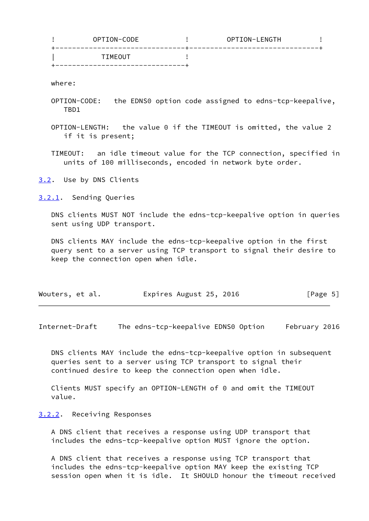| TIMEOUT | OPTION-CODE | OPTION-LENGTH |  |
|---------|-------------|---------------|--|
|         |             |               |  |

where:

- OPTION-CODE: the EDNS0 option code assigned to edns-tcp-keepalive, TBD1
- OPTION-LENGTH: the value 0 if the TIMEOUT is omitted, the value 2 if it is present;
- TIMEOUT: an idle timeout value for the TCP connection, specified in units of 100 milliseconds, encoded in network byte order.

<span id="page-5-0"></span>[3.2](#page-5-0). Use by DNS Clients

<span id="page-5-1"></span>[3.2.1](#page-5-1). Sending Queries

 DNS clients MUST NOT include the edns-tcp-keepalive option in queries sent using UDP transport.

 DNS clients MAY include the edns-tcp-keepalive option in the first query sent to a server using TCP transport to signal their desire to keep the connection open when idle.

| Wouters, et al. | Expires August 25, 2016 | [Page 5] |
|-----------------|-------------------------|----------|
|-----------------|-------------------------|----------|

<span id="page-5-3"></span>Internet-Draft The edns-tcp-keepalive EDNS0 Option February 2016

 DNS clients MAY include the edns-tcp-keepalive option in subsequent queries sent to a server using TCP transport to signal their continued desire to keep the connection open when idle.

 Clients MUST specify an OPTION-LENGTH of 0 and omit the TIMEOUT value.

#### <span id="page-5-2"></span>[3.2.2](#page-5-2). Receiving Responses

 A DNS client that receives a response using UDP transport that includes the edns-tcp-keepalive option MUST ignore the option.

 A DNS client that receives a response using TCP transport that includes the edns-tcp-keepalive option MAY keep the existing TCP session open when it is idle. It SHOULD honour the timeout received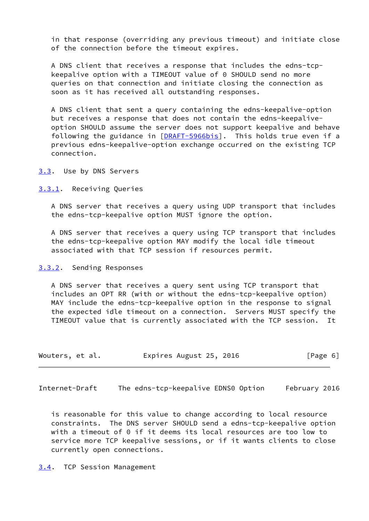in that response (overriding any previous timeout) and initiate close of the connection before the timeout expires.

 A DNS client that receives a response that includes the edns-tcp keepalive option with a TIMEOUT value of 0 SHOULD send no more queries on that connection and initiate closing the connection as soon as it has received all outstanding responses.

 A DNS client that sent a query containing the edns-keepalive-option but receives a response that does not contain the edns-keepalive option SHOULD assume the server does not support keepalive and behave following the guidance in [[DRAFT-5966bis\]](#page-4-4). This holds true even if a previous edns-keepalive-option exchange occurred on the existing TCP connection.

<span id="page-6-0"></span>[3.3](#page-6-0). Use by DNS Servers

<span id="page-6-1"></span>[3.3.1](#page-6-1). Receiving Queries

 A DNS server that receives a query using UDP transport that includes the edns-tcp-keepalive option MUST ignore the option.

 A DNS server that receives a query using TCP transport that includes the edns-tcp-keepalive option MAY modify the local idle timeout associated with that TCP session if resources permit.

<span id="page-6-2"></span>[3.3.2](#page-6-2). Sending Responses

 A DNS server that receives a query sent using TCP transport that includes an OPT RR (with or without the edns-tcp-keepalive option) MAY include the edns-tcp-keepalive option in the response to signal the expected idle timeout on a connection. Servers MUST specify the TIMEOUT value that is currently associated with the TCP session. It

| Wouters, et al. | Expires August 25, 2016 | [Page 6] |
|-----------------|-------------------------|----------|
|-----------------|-------------------------|----------|

<span id="page-6-4"></span>Internet-Draft The edns-tcp-keepalive EDNS0 Option February 2016

 is reasonable for this value to change according to local resource constraints. The DNS server SHOULD send a edns-tcp-keepalive option with a timeout of 0 if it deems its local resources are too low to service more TCP keepalive sessions, or if it wants clients to close currently open connections.

<span id="page-6-3"></span>[3.4](#page-6-3). TCP Session Management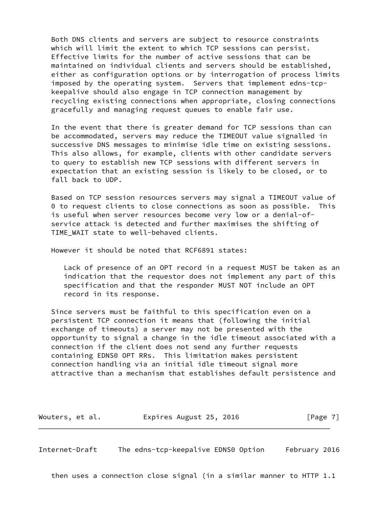Both DNS clients and servers are subject to resource constraints which will limit the extent to which TCP sessions can persist. Effective limits for the number of active sessions that can be maintained on individual clients and servers should be established, either as configuration options or by interrogation of process limits imposed by the operating system. Servers that implement edns-tcp keepalive should also engage in TCP connection management by recycling existing connections when appropriate, closing connections gracefully and managing request queues to enable fair use.

 In the event that there is greater demand for TCP sessions than can be accommodated, servers may reduce the TIMEOUT value signalled in successive DNS messages to minimise idle time on existing sessions. This also allows, for example, clients with other candidate servers to query to establish new TCP sessions with different servers in expectation that an existing session is likely to be closed, or to fall back to UDP.

 Based on TCP session resources servers may signal a TIMEOUT value of 0 to request clients to close connections as soon as possible. This is useful when server resources become very low or a denial-of service attack is detected and further maximises the shifting of TIME WAIT state to well-behaved clients.

However it should be noted that RCF6891 states:

 Lack of presence of an OPT record in a request MUST be taken as an indication that the requestor does not implement any part of this specification and that the responder MUST NOT include an OPT record in its response.

 Since servers must be faithful to this specification even on a persistent TCP connection it means that (following the initial exchange of timeouts) a server may not be presented with the opportunity to signal a change in the idle timeout associated with a connection if the client does not send any further requests containing EDNS0 OPT RRs. This limitation makes persistent connection handling via an initial idle timeout signal more attractive than a mechanism that establishes default persistence and

Wouters, et al. Expires August 25, 2016 [Page 7]

<span id="page-7-0"></span>Internet-Draft The edns-tcp-keepalive EDNS0 Option February 2016

then uses a connection close signal (in a similar manner to HTTP 1.1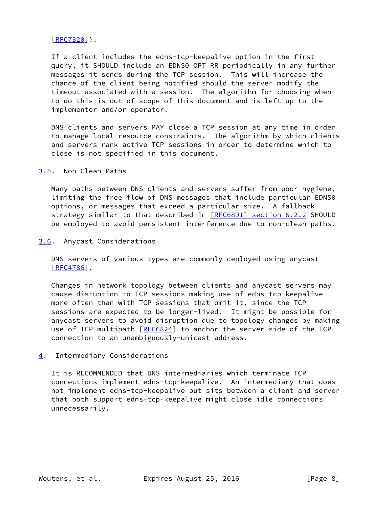## [\[RFC7320](https://datatracker.ietf.org/doc/pdf/rfc7320)]).

 If a client includes the edns-tcp-keepalive option in the first query, it SHOULD include an EDNS0 OPT RR periodically in any further messages it sends during the TCP session. This will increase the chance of the client being notified should the server modify the timeout associated with a session. The algorithm for choosing when to do this is out of scope of this document and is left up to the implementor and/or operator.

 DNS clients and servers MAY close a TCP session at any time in order to manage local resource constraints. The algorithm by which clients and servers rank active TCP sessions in order to determine which to close is not specified in this document.

## <span id="page-8-0"></span>[3.5](#page-8-0). Non-Clean Paths

 Many paths between DNS clients and servers suffer from poor hygiene, limiting the free flow of DNS messages that include particular EDNS0 options, or messages that exceed a particular size. A fallback strategy similar to that described in [\[RFC6891\] section](https://datatracker.ietf.org/doc/pdf/rfc6891#section-6.2.2) 6.2.2 SHOULD be employed to avoid persistent interference due to non-clean paths.

#### <span id="page-8-1"></span>[3.6](#page-8-1). Anycast Considerations

 DNS servers of various types are commonly deployed using anycast [\[RFC4786](https://datatracker.ietf.org/doc/pdf/rfc4786)].

 Changes in network topology between clients and anycast servers may cause disruption to TCP sessions making use of edns-tcp-keepalive more often than with TCP sessions that omit it, since the TCP sessions are expected to be longer-lived. It might be possible for anycast servers to avoid disruption due to topology changes by making use of TCP multipath [\[RFC6824](https://datatracker.ietf.org/doc/pdf/rfc6824)] to anchor the server side of the TCP connection to an unambiguously-unicast address.

## <span id="page-8-2"></span>[4](#page-8-2). Intermediary Considerations

 It is RECOMMENDED that DNS intermediaries which terminate TCP connections implement edns-tcp-keepalive. An intermediary that does not implement edns-tcp-keepalive but sits between a client and server that both support edns-tcp-keepalive might close idle connections unnecessarily.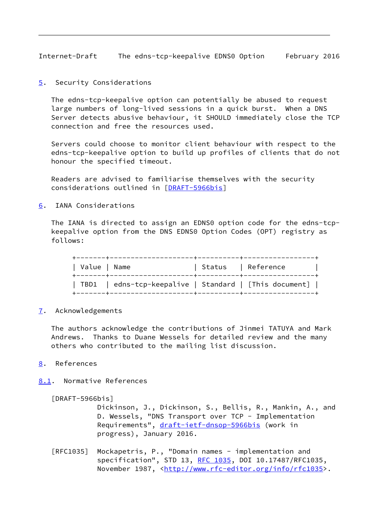<span id="page-9-1"></span>Internet-Draft The edns-tcp-keepalive EDNS0 Option February 2016

<span id="page-9-0"></span>[5](#page-9-0). Security Considerations

 The edns-tcp-keepalive option can potentially be abused to request large numbers of long-lived sessions in a quick burst. When a DNS Server detects abusive behaviour, it SHOULD immediately close the TCP connection and free the resources used.

 Servers could choose to monitor client behaviour with respect to the edns-tcp-keepalive option to build up profiles of clients that do not honour the specified timeout.

 Readers are advised to familiarise themselves with the security considerations outlined in [[DRAFT-5966bis\]](#page-4-4)

<span id="page-9-2"></span>[6](#page-9-2). IANA Considerations

 The IANA is directed to assign an EDNS0 option code for the edns-tcp keepalive option from the DNS EDNS0 Option Codes (OPT) registry as follows:

| Value   Name | -------+---------------------                          | Status   Reference |  |
|--------------|--------------------------------------------------------|--------------------|--|
|              | TBD1   edns-tcp-keepalive   Standard   [This document] |                    |  |

<span id="page-9-3"></span>[7](#page-9-3). Acknowledgements

 The authors acknowledge the contributions of Jinmei TATUYA and Mark Andrews. Thanks to Duane Wessels for detailed review and the many others who contributed to the mailing list discussion.

# <span id="page-9-4"></span>[8](#page-9-4). References

<span id="page-9-5"></span>[8.1](#page-9-5). Normative References

[DRAFT-5966bis]

 Dickinson, J., Dickinson, S., Bellis, R., Mankin, A., and D. Wessels, "DNS Transport over TCP - Implementation Requirements", [draft-ietf-dnsop-5966bis](https://datatracker.ietf.org/doc/pdf/draft-ietf-dnsop-5966bis) (work in progress), January 2016.

[RFC1035] Mockapetris, P., "Domain names - implementation and specification", STD 13, [RFC 1035,](https://datatracker.ietf.org/doc/pdf/rfc1035) DOI 10.17487/RFC1035, November 1987, <<http://www.rfc-editor.org/info/rfc1035>>.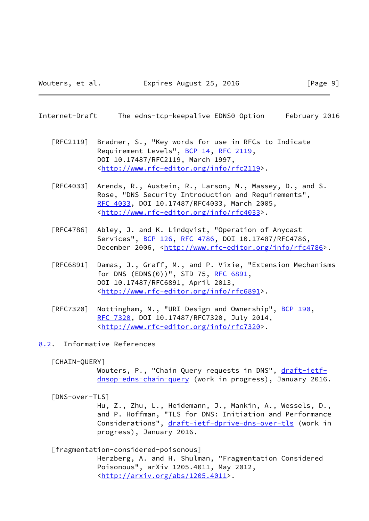- <span id="page-10-1"></span>Internet-Draft The edns-tcp-keepalive EDNS0 Option February 2016
	- [RFC2119] Bradner, S., "Key words for use in RFCs to Indicate Requirement Levels", [BCP 14](https://datatracker.ietf.org/doc/pdf/bcp14), [RFC 2119](https://datatracker.ietf.org/doc/pdf/rfc2119), DOI 10.17487/RFC2119, March 1997, <<http://www.rfc-editor.org/info/rfc2119>>.
	- [RFC4033] Arends, R., Austein, R., Larson, M., Massey, D., and S. Rose, "DNS Security Introduction and Requirements", [RFC 4033,](https://datatracker.ietf.org/doc/pdf/rfc4033) DOI 10.17487/RFC4033, March 2005, <<http://www.rfc-editor.org/info/rfc4033>>.
	- [RFC4786] Abley, J. and K. Lindqvist, "Operation of Anycast Services", [BCP 126](https://datatracker.ietf.org/doc/pdf/bcp126), [RFC 4786,](https://datatracker.ietf.org/doc/pdf/rfc4786) DOI 10.17487/RFC4786, December 2006, <<http://www.rfc-editor.org/info/rfc4786>>.
	- [RFC6891] Damas, J., Graff, M., and P. Vixie, "Extension Mechanisms for DNS (EDNS(0))", STD 75, [RFC 6891,](https://datatracker.ietf.org/doc/pdf/rfc6891) DOI 10.17487/RFC6891, April 2013, <<http://www.rfc-editor.org/info/rfc6891>>.
	- [RFC7320] Nottingham, M., "URI Design and Ownership", [BCP 190](https://datatracker.ietf.org/doc/pdf/bcp190), [RFC 7320,](https://datatracker.ietf.org/doc/pdf/rfc7320) DOI 10.17487/RFC7320, July 2014, <<http://www.rfc-editor.org/info/rfc7320>>.
- <span id="page-10-3"></span><span id="page-10-0"></span>[8.2](#page-10-0). Informative References
	- [CHAIN-QUERY]

Wouters, P., "Chain Query requests in DNS", [draft-ietf](https://datatracker.ietf.org/doc/pdf/draft-ietf-dnsop-edns-chain-query) [dnsop-edns-chain-query](https://datatracker.ietf.org/doc/pdf/draft-ietf-dnsop-edns-chain-query) (work in progress), January 2016.

<span id="page-10-4"></span>[DNS-over-TLS]

 Hu, Z., Zhu, L., Heidemann, J., Mankin, A., Wessels, D., and P. Hoffman, "TLS for DNS: Initiation and Performance Considerations", [draft-ietf-dprive-dns-over-tls](https://datatracker.ietf.org/doc/pdf/draft-ietf-dprive-dns-over-tls) (work in progress), January 2016.

<span id="page-10-2"></span>[fragmentation-considered-poisonous]

 Herzberg, A. and H. Shulman, "Fragmentation Considered Poisonous", arXiv 1205.4011, May 2012, <<http://arxiv.org/abs/1205.4011>>.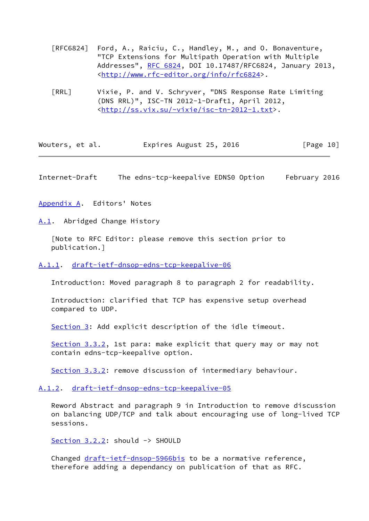- [RFC6824] Ford, A., Raiciu, C., Handley, M., and O. Bonaventure, "TCP Extensions for Multipath Operation with Multiple Addresses", [RFC 6824,](https://datatracker.ietf.org/doc/pdf/rfc6824) DOI 10.17487/RFC6824, January 2013, <<http://www.rfc-editor.org/info/rfc6824>>.
- <span id="page-11-5"></span> [RRL] Vixie, P. and V. Schryver, "DNS Response Rate Limiting (DNS RRL)", ISC-TN 2012-1-Draft1, April 2012, <[http://ss.vix.su/~vixie/isc-tn-2012-1.txt>](http://ss.vix.su/~vixie/isc-tn-2012-1.txt).

| Wouters, et al. | Expires August 25, 2016 | [Page 10] |
|-----------------|-------------------------|-----------|
|-----------------|-------------------------|-----------|

<span id="page-11-1"></span>Internet-Draft The edns-tcp-keepalive EDNS0 Option February 2016

<span id="page-11-0"></span>[Appendix A.](#page-11-0) Editors' Notes

<span id="page-11-2"></span>[A.1](#page-11-2). Abridged Change History

 [Note to RFC Editor: please remove this section prior to publication.]

<span id="page-11-3"></span>[A.1.1](#page-11-3). [draft-ietf-dnsop-edns-tcp-keepalive-06](https://datatracker.ietf.org/doc/pdf/draft-ietf-dnsop-edns-tcp-keepalive-06)

Introduction: Moved paragraph 8 to paragraph 2 for readability.

 Introduction: clarified that TCP has expensive setup overhead compared to UDP.

[Section 3](#page-4-1): Add explicit description of the idle timeout.

[Section 3.3.2](#page-6-2), 1st para: make explicit that query may or may not contain edns-tcp-keepalive option.

[Section 3.3.2](#page-6-2): remove discussion of intermediary behaviour.

### <span id="page-11-4"></span>[A.1.2](#page-11-4). [draft-ietf-dnsop-edns-tcp-keepalive-05](https://datatracker.ietf.org/doc/pdf/draft-ietf-dnsop-edns-tcp-keepalive-05)

 Reword Abstract and paragraph 9 in Introduction to remove discussion on balancing UDP/TCP and talk about encouraging use of long-lived TCP sessions.

[Section 3.2.2](#page-5-2): should -> SHOULD

Changed [draft-ietf-dnsop-5966bis](https://datatracker.ietf.org/doc/pdf/draft-ietf-dnsop-5966bis) to be a normative reference, therefore adding a dependancy on publication of that as RFC.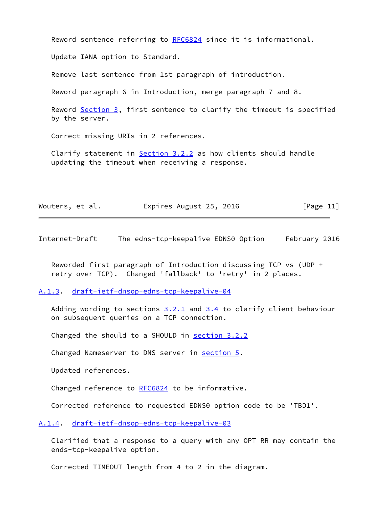Reword sentence referring to [RFC6824](https://datatracker.ietf.org/doc/pdf/rfc6824) since it is informational.

Update IANA option to Standard.

Remove last sentence from 1st paragraph of introduction.

Reword paragraph 6 in Introduction, merge paragraph 7 and 8.

Reword [Section 3,](#page-4-1) first sentence to clarify the timeout is specified by the server.

Correct missing URIs in 2 references.

Clarify statement in  $Section 3.2.2$  as how clients should handle updating the timeout when receiving a response.

| Wouters, et al. | Expires August 25, 2016 | [Page 11] |
|-----------------|-------------------------|-----------|
|-----------------|-------------------------|-----------|

<span id="page-12-1"></span>Internet-Draft The edns-tcp-keepalive EDNS0 Option February 2016

 Reworded first paragraph of Introduction discussing TCP vs (UDP + retry over TCP). Changed 'fallback' to 'retry' in 2 places.

#### <span id="page-12-0"></span>[A.1.3](#page-12-0). [draft-ietf-dnsop-edns-tcp-keepalive-04](https://datatracker.ietf.org/doc/pdf/draft-ietf-dnsop-edns-tcp-keepalive-04)

Adding wording to sections  $3.2.1$  and  $3.4$  to clarify client behaviour on subsequent queries on a TCP connection.

Changed the should to a SHOULD in [section 3.2.2](#page-5-2)

Changed Nameserver to DNS server in [section 5.](#page-9-0)

Updated references.

Changed reference to [RFC6824](https://datatracker.ietf.org/doc/pdf/rfc6824) to be informative.

Corrected reference to requested EDNS0 option code to be 'TBD1'.

#### <span id="page-12-2"></span>[A.1.4](#page-12-2). [draft-ietf-dnsop-edns-tcp-keepalive-03](https://datatracker.ietf.org/doc/pdf/draft-ietf-dnsop-edns-tcp-keepalive-03)

 Clarified that a response to a query with any OPT RR may contain the ends-tcp-keepalive option.

Corrected TIMEOUT length from 4 to 2 in the diagram.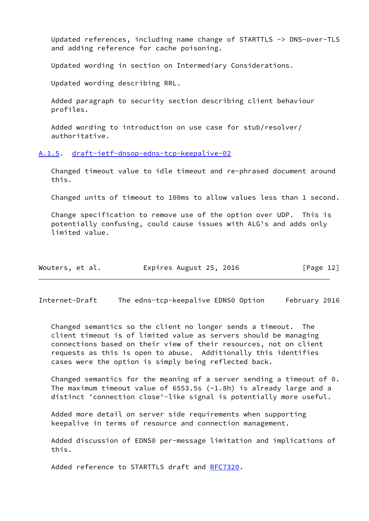Updated references, including name change of STARTTLS -> DNS-over-TLS and adding reference for cache poisoning.

Updated wording in section on Intermediary Considerations.

Updated wording describing RRL.

 Added paragraph to security section describing client behaviour profiles.

 Added wording to introduction on use case for stub/resolver/ authoritative.

<span id="page-13-0"></span>[A.1.5](#page-13-0). [draft-ietf-dnsop-edns-tcp-keepalive-02](https://datatracker.ietf.org/doc/pdf/draft-ietf-dnsop-edns-tcp-keepalive-02)

 Changed timeout value to idle timeout and re-phrased document around this.

Changed units of timeout to 100ms to allow values less than 1 second.

 Change specification to remove use of the option over UDP. This is potentially confusing, could cause issues with ALG's and adds only limited value.

| Wouters, et al. | Expires August 25, 2016 | [Page 12] |
|-----------------|-------------------------|-----------|
|-----------------|-------------------------|-----------|

<span id="page-13-1"></span>Internet-Draft The edns-tcp-keepalive EDNS0 Option February 2016

 Changed semantics so the client no longer sends a timeout. The client timeout is of limited value as servers should be managing connections based on their view of their resources, not on client requests as this is open to abuse. Additionally this identifies cases were the option is simply being reflected back.

 Changed semantics for the meaning of a server sending a timeout of 0. The maximum timeout value of 6553.5s (~1.8h) is already large and a distinct 'connection close'-like signal is potentially more useful.

 Added more detail on server side requirements when supporting keepalive in terms of resource and connection management.

 Added discussion of EDNS0 per-message limitation and implications of this.

Added reference to STARTTLS draft and [RFC7320](https://datatracker.ietf.org/doc/pdf/rfc7320).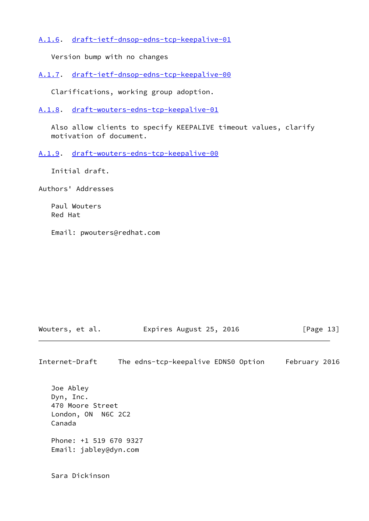<span id="page-14-0"></span>[A.1.6](#page-14-0). [draft-ietf-dnsop-edns-tcp-keepalive-01](https://datatracker.ietf.org/doc/pdf/draft-ietf-dnsop-edns-tcp-keepalive-01)

Version bump with no changes

<span id="page-14-1"></span>[A.1.7](#page-14-1). [draft-ietf-dnsop-edns-tcp-keepalive-00](https://datatracker.ietf.org/doc/pdf/draft-ietf-dnsop-edns-tcp-keepalive-00)

Clarifications, working group adoption.

<span id="page-14-2"></span>[A.1.8](#page-14-2). [draft-wouters-edns-tcp-keepalive-01](https://datatracker.ietf.org/doc/pdf/draft-wouters-edns-tcp-keepalive-01)

 Also allow clients to specify KEEPALIVE timeout values, clarify motivation of document.

<span id="page-14-3"></span>[A.1.9](#page-14-3). [draft-wouters-edns-tcp-keepalive-00](https://datatracker.ietf.org/doc/pdf/draft-wouters-edns-tcp-keepalive-00)

Initial draft.

Authors' Addresses

 Paul Wouters Red Hat

Email: pwouters@redhat.com

| Wouters, et al. | Expires August 25, 2016 | [Page 13] |
|-----------------|-------------------------|-----------|
|-----------------|-------------------------|-----------|

Internet-Draft The edns-tcp-keepalive EDNS0 Option February 2016

 Joe Abley Dyn, Inc. 470 Moore Street London, ON N6C 2C2 Canada Phone: +1 519 670 9327 Email: jabley@dyn.com

Sara Dickinson